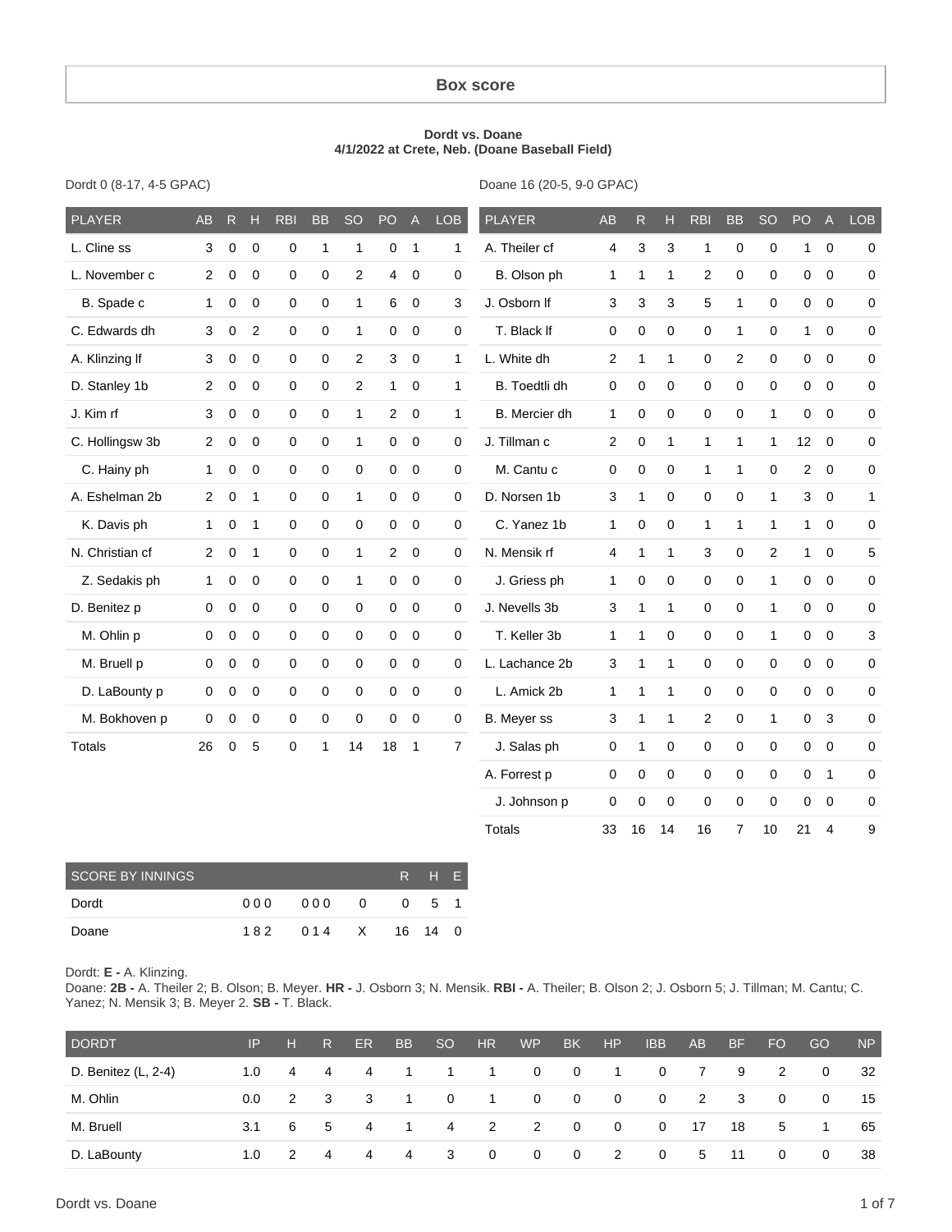#### **Box score**

#### **Dordt vs. Doane 4/1/2022 at Crete, Neb. (Doane Baseball Field)**

|  |  |  | Dordt 0 (8-17, 4-5 GPAC) |
|--|--|--|--------------------------|
|--|--|--|--------------------------|

Doane 16 (20-5, 9-0 GPAC)

| <b>PLAYER</b>     | <b>AB</b>      | ${\sf R}$   | H            | <b>RBI</b>          | <b>BB</b>           | <b>SO</b>      | PO             | $\mathsf{A}$ | <b>LOB</b>     | <b>PLAYER</b>  | AB             | ${\sf R}$    | Н                | <b>RBI</b>     | <b>BB</b>      | <b>SO</b>      | PO              | $\mathsf A$    | <b>LOB</b>   |
|-------------------|----------------|-------------|--------------|---------------------|---------------------|----------------|----------------|--------------|----------------|----------------|----------------|--------------|------------------|----------------|----------------|----------------|-----------------|----------------|--------------|
| L. Cline ss       | 3              | $\mathbf 0$ | $\mathbf 0$  | 0                   | 1                   | 1              | 0              | $\mathbf{1}$ | 1              | A. Theiler cf  | 4              | 3            | 3                | 1              | 0              | $\mathbf 0$    | $\mathbf{1}$    | $\mathbf 0$    | 0            |
| L. November c     | $\overline{2}$ | $\mathbf 0$ | $\mathbf 0$  | 0                   | $\mathbf 0$         | $\overline{c}$ | 4              | $\mathbf 0$  | $\pmb{0}$      | B. Olson ph    | $\mathbf{1}$   | $\mathbf{1}$ | $\mathbf{1}$     | $\overline{c}$ | $\mathbf 0$    | $\mathbf 0$    | 0               | $\mathbf 0$    | 0            |
| B. Spade c        | 1              | $\mathbf 0$ | $\mathbf 0$  | $\mathbf 0$         | $\mathbf 0$         | $\mathbf{1}$   | 6              | $\mathbf 0$  | 3              | J. Osborn If   | 3              | 3            | 3                | 5              | $\mathbf{1}$   | $\Omega$       | 0               | $\mathbf 0$    | 0            |
| C. Edwards dh     | 3              | 0           | 2            | $\mathbf 0$         | $\mathbf 0$         | $\mathbf{1}$   | 0              | $\mathbf 0$  | $\mathbf 0$    | T. Black If    | $\pmb{0}$      | 0            | 0                | $\mathbf 0$    | $\mathbf{1}$   | $\mathbf 0$    | 1               | $\mathbf 0$    | 0            |
| A. Klinzing If    | 3              | $\mathbf 0$ | $\Omega$     | 0                   | $\mathbf 0$         | 2              | 3              | $\mathbf 0$  | $\mathbf{1}$   | L. White dh    | $\overline{c}$ | $\mathbf{1}$ | $\mathbf{1}$     | $\mathbf 0$    | $\mathbf{2}$   | $\Omega$       | 0               | $\mathbf 0$    | 0            |
| D. Stanley 1b     | $\overline{2}$ | $\mathbf 0$ | $\mathbf 0$  | 0                   | $\mathbf 0$         | $\mathbf{2}$   | $\mathbf{1}$   | $\mathbf 0$  | $\mathbf{1}$   | B. Toedtli dh  | $\mathbf 0$    | 0            | 0                | $\mathbf 0$    | 0              | $\mathbf 0$    | 0               | $\mathbf 0$    | 0            |
| J. Kim rf         | 3              | $\mathbf 0$ | $\mathbf 0$  | 0                   | 0                   | $\mathbf{1}$   | $\overline{2}$ | $\mathbf 0$  | 1              | B. Mercier dh  | 1              | 0            | 0                | $\Omega$       | 0              | 1              | 0               | $\mathbf 0$    | 0            |
| C. Hollingsw 3b   | $\overline{2}$ | $\pmb{0}$   | $\pmb{0}$    | 0                   | $\mathbf 0$         | $\mathbf{1}$   | 0              | $\mathbf 0$  | $\pmb{0}$      | J. Tillman c   | $\overline{c}$ | $\mathbf 0$  | $\mathbf{1}$     | $\mathbf{1}$   | $\mathbf{1}$   | 1              | 12 <sup>°</sup> | $\mathbf 0$    | $\pmb{0}$    |
| C. Hainy ph       | $\mathbf{1}$   | $\pmb{0}$   | $\mathbf 0$  | 0                   | $\mathsf{O}\xspace$ | 0              | $\mathbf 0$    | $\pmb{0}$    | $\mathbf 0$    | M. Cantu c     | $\pmb{0}$      | 0            | $\boldsymbol{0}$ | $\mathbf{1}$   | $\mathbf{1}$   | $\mathbf 0$    | $\overline{a}$  | $\mathbf 0$    | $\mathsf 0$  |
| A. Eshelman 2b    | $\overline{2}$ | $\mathbf 0$ | $\mathbf{1}$ | 0                   | $\pmb{0}$           | $\mathbf{1}$   | $\mathbf 0$    | $\pmb{0}$    | $\pmb{0}$      | D. Norsen 1b   | $\sqrt{3}$     | $\mathbf{1}$ | $\boldsymbol{0}$ | $\pmb{0}$      | $\mathsf 0$    | $\mathbf{1}$   | 3               | $\pmb{0}$      | $\mathbf{1}$ |
| K. Davis ph       | 1              | $\mathbf 0$ | $\mathbf{1}$ | 0                   | 0                   | $\mathbf 0$    | 0              | $\pmb{0}$    | $\pmb{0}$      | C. Yanez 1b    | $\mathbf{1}$   | $\mathbf 0$  | 0                | $\mathbf{1}$   | $\mathbf{1}$   | 1              | $\mathbf{1}$    | $\mathbf 0$    | $\mathbf 0$  |
| N. Christian cf   | $\overline{2}$ | $\mathbf 0$ | $\mathbf{1}$ | $\mathbf 0$         | $\mathbf 0$         | $\mathbf{1}$   | 2              | $\mathbf 0$  | $\mathbf 0$    | N. Mensik rf   | 4              | $\mathbf{1}$ | $\mathbf{1}$     | 3              | 0              | $\overline{c}$ | $\mathbf{1}$    | $\mathbf 0$    | 5            |
| Z. Sedakis ph     | 1              | 0           | $\mathbf 0$  | 0                   | $\mathbf 0$         | $\mathbf{1}$   | 0              | $\mathbf 0$  | $\mathbf 0$    | J. Griess ph   | $\mathbf{1}$   | 0            | 0                | $\mathbf 0$    | 0              | $\mathbf{1}$   | 0               | $\mathbf 0$    | 0            |
| D. Benitez p      | $\mathbf 0$    | $\mathbf 0$ | $\mathbf 0$  | $\mathsf{O}\xspace$ | $\mathsf 0$         | $\mathbf 0$    | $\mathbf 0$    | $\pmb{0}$    | $\mathbf 0$    | J. Nevells 3b  | 3              | $\mathbf{1}$ | $\mathbf{1}$     | $\mathbf 0$    | $\mathsf 0$    | 1              | 0               | $\mathbf 0$    | 0            |
| M. Ohlin p        | 0              | 0           | $\mathbf 0$  | 0                   | $\mathbf 0$         | 0              | $\mathbf 0$    | $\mathbf 0$  | $\mathbf 0$    | T. Keller 3b   | 1              | $\mathbf{1}$ | $\mathbf 0$      | $\mathbf 0$    | $\mathbf 0$    | 1              | 0               | $\mathbf 0$    | 3            |
| M. Bruell p       | 0              | $\mathbf 0$ | $\mathbf 0$  | $\mathbf 0$         | $\mathbf 0$         | 0              | $\mathbf 0$    | $\mathbf 0$  | $\mathbf 0$    | L. Lachance 2b | 3              | $\mathbf{1}$ | $\mathbf{1}$     | $\mathbf 0$    | 0              | $\mathbf 0$    | 0               | $\mathbf 0$    | 0            |
| D. LaBounty p     | 0              | 0           | $\mathbf 0$  | 0                   | 0                   | $\mathbf 0$    | $\mathbf 0$    | $\mathbf 0$  | $\mathbf 0$    | L. Amick 2b    | 1              | $\mathbf{1}$ | $\mathbf{1}$     | $\mathbf 0$    | 0              | $\mathbf 0$    | 0               | $\mathbf 0$    | 0            |
| M. Bokhoven p     | 0              | $\mathbf 0$ | $\mathbf 0$  | 0                   | 0                   | $\mathbf 0$    | $\mathbf 0$    | $\mathbf 0$  | $\mathbf 0$    | B. Meyer ss    | 3              | $\mathbf{1}$ | $\mathbf{1}$     | 2              | 0              | 1              | 0               | 3              | 0            |
| <b>Totals</b>     | 26             | $\mathbf 0$ | 5            | 0                   | 1                   | 14             | 18             | $\mathbf{1}$ | $\overline{7}$ | J. Salas ph    | $\mathbf 0$    | $\mathbf{1}$ | 0                | $\mathbf 0$    | $\mathsf 0$    | $\mathbf 0$    | $\mathbf 0$     | $\mathbf 0$    | 0            |
|                   |                |             |              |                     |                     |                |                |              |                | A. Forrest p   | $\mathbf 0$    | 0            | 0                | $\mathbf 0$    | $\mathsf 0$    | $\mathbf 0$    | 0               | $\mathbf{1}$   | 0            |
|                   |                |             |              |                     |                     |                |                |              |                | J. Johnson p   | $\mathbf 0$    | 0            | 0                | $\mathbf 0$    | $\mathsf 0$    | $\mathbf 0$    | 0               | $\mathbf 0$    | 0            |
|                   |                |             |              |                     |                     |                |                |              |                | <b>Totals</b>  | 33             | 16           | 14               | 16             | $\overline{7}$ | 10             | 21              | $\overline{4}$ | 9            |
| COORE BY INNINIOS |                |             |              |                     |                     |                |                |              | $D = H - E$    |                |                |              |                  |                |                |                |                 |                |              |

| <b>SCORE BY INNINGS</b> |     |       |     |          | RHE' |  |
|-------------------------|-----|-------|-----|----------|------|--|
| Dordt                   | 000 | 000   | - 0 | $\Omega$ | 5 1  |  |
| Doane                   | 182 | 014 X |     | 16 14 0  |      |  |

#### Dordt: **E -** A. Klinzing.

Doane: **2B -** A. Theiler 2; B. Olson; B. Meyer. **HR -** J. Osborn 3; N. Mensik. **RBI -** A. Theiler; B. Olson 2; J. Osborn 5; J. Tillman; M. Cantu; C. Yanez; N. Mensik 3; B. Meyer 2. **SB -** T. Black.

| <b>DORDT</b>        | IP            | н                          | $R_{\parallel}$         | ER.                     | B <sub>B</sub> | -SO            | HR             | WP                      | BK             | HP                         | IBB                     | AB.            | BF  | <b>FO</b>      | GO             | <b>NP</b> |
|---------------------|---------------|----------------------------|-------------------------|-------------------------|----------------|----------------|----------------|-------------------------|----------------|----------------------------|-------------------------|----------------|-----|----------------|----------------|-----------|
| D. Benitez (L, 2-4) | 1.0           |                            | 44                      | 4                       | $\sim$ 1       | $\overline{1}$ | $\mathbf{1}$   | $\overline{\mathbf{0}}$ | $\overline{0}$ | $\sim$ 1                   | $\overline{0}$          | $\overline{7}$ | -9  | $\overline{2}$ | $\overline{0}$ | -32       |
| M. Ohlin            | $0.0^{\circ}$ | $\overline{\phantom{0}}^2$ | $\overline{\mathbf{3}}$ | $\overline{\mathbf{3}}$ | $\sim$ 1       | $\mathbf{0}$   | $\overline{1}$ | $\overline{0}$          | $\overline{0}$ | $\overline{\mathbf{0}}$    | $\overline{\mathbf{0}}$ | $\overline{2}$ | - 3 | $\overline{0}$ | $\overline{0}$ | 15        |
| M. Bruell           | 3.1           | 6 —                        | 5                       | $\overline{4}$          | $\sim$ 1       | 4              | 2              | $\overline{2}$          | $\overline{0}$ | $\overline{0}$             | $\overline{0}$          | 17             | 18  | 5 <sup>5</sup> | $\overline{1}$ | 65        |
| D. LaBounty         | 1.0           | $\overline{2}$             | $\overline{4}$          | $\overline{4}$          | 4              | 3              | $\mathbf{0}$   | $\overline{\mathbf{0}}$ | $\overline{0}$ | $\overline{\phantom{a}}$ 2 | $\overline{0}$          | -5             | 11  | $\overline{0}$ | $\overline{0}$ | -38       |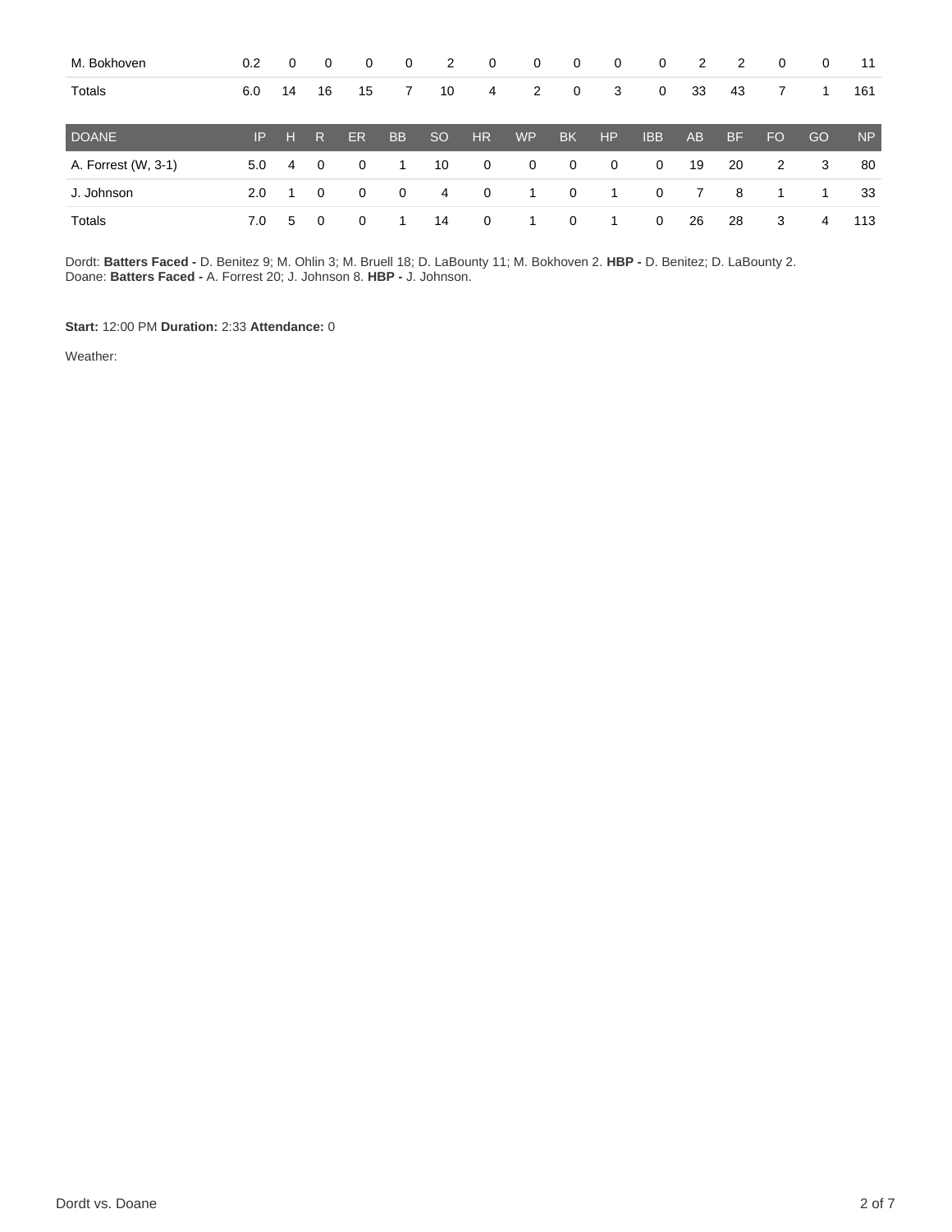| M. Bokhoven         | $0.2^{\circ}$ | $\mathbf{0}$   | 0                       | 0            | $\mathbf 0$ | 2             | $\mathbf 0$    | $\mathbf 0$    | $\overline{0}$ | $\overline{0}$ | $\overline{0}$ | 2  | 2         | $\mathbf 0$ | 0  | 11             |
|---------------------|---------------|----------------|-------------------------|--------------|-------------|---------------|----------------|----------------|----------------|----------------|----------------|----|-----------|-------------|----|----------------|
| Totals              | 6.0           | 14             | 16                      | 15           | 7           | 10            | 4              | 2              | $\overline{0}$ | 3              | $\mathbf 0$    | 33 | 43        | 7           | 1  | 161            |
| DOANE               | IP.           | Æ              | R.                      | <b>ER</b>    | <b>BB</b>   | <sub>SO</sub> | H <sub>R</sub> | <b>WP</b>      | <b>BK</b>      | <b>HP</b>      | <b>IBB</b>     | AB | <b>BF</b> | <b>FO</b>   | GO | N <sub>P</sub> |
| A. Forrest (W, 3-1) | 5.0           | 4              | $\overline{\mathbf{0}}$ | $\mathbf{0}$ | 1           | 10            | $\overline{0}$ | $\overline{0}$ | $\overline{0}$ | $\mathbf 0$    | $\mathbf 0$    | 19 | 20        | 2           | 3  | 80             |
| J. Johnson          | 2.0           | $\overline{1}$ | $\Omega$                | 0            | $\mathbf 0$ | 4             | $\overline{0}$ | 1              | $\mathbf{0}$   | -1             | $\mathbf 0$    | 7  | 8         | 1           | 1  | 33             |
| Totals              | 7.0           | 5              | $\Omega$                | 0            |             | 14            | $\overline{0}$ | 1.             | 0              | 1              | $\mathbf{0}$   | 26 | 28        | 3           | 4  | 113            |

Dordt: **Batters Faced -** D. Benitez 9; M. Ohlin 3; M. Bruell 18; D. LaBounty 11; M. Bokhoven 2. **HBP -** D. Benitez; D. LaBounty 2. Doane: **Batters Faced -** A. Forrest 20; J. Johnson 8. **HBP -** J. Johnson.

**Start:** 12:00 PM **Duration:** 2:33 **Attendance:** 0

Weather: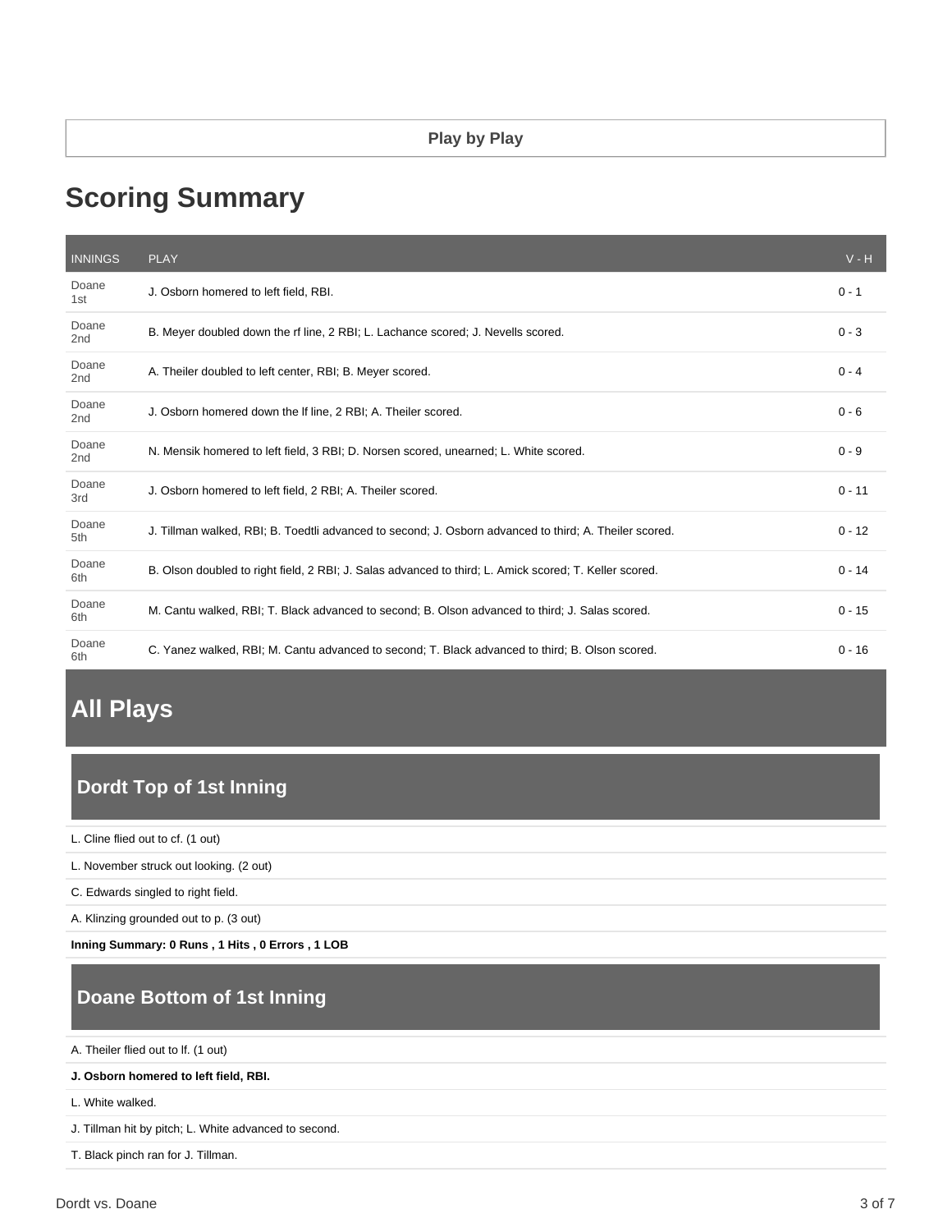# **Scoring Summary**

| <b>INNINGS</b>           | <b>PLAY</b>                                                                                            | $V - H$  |
|--------------------------|--------------------------------------------------------------------------------------------------------|----------|
| Doane<br>1st             | J. Osborn homered to left field, RBI.                                                                  | $0 - 1$  |
| Doane<br>2 <sub>nd</sub> | B. Meyer doubled down the rf line, 2 RBI; L. Lachance scored; J. Nevells scored.                       | $0 - 3$  |
| Doane<br>2 <sub>nd</sub> | A. Theiler doubled to left center, RBI; B. Meyer scored.                                               | $0 - 4$  |
| Doane<br>2 <sub>nd</sub> | J. Osborn homered down the If line, 2 RBI; A. Theiler scored.                                          | $0 - 6$  |
| Doane<br>2 <sub>nd</sub> | N. Mensik homered to left field, 3 RBI; D. Norsen scored, unearned; L. White scored.                   | $0 - 9$  |
| Doane<br>3rd             | J. Osborn homered to left field, 2 RBI; A. Theiler scored.                                             | $0 - 11$ |
| Doane<br>5th             | J. Tillman walked, RBI; B. Toedtli advanced to second; J. Osborn advanced to third; A. Theiler scored. | $0 - 12$ |
| Doane<br>6th             | B. Olson doubled to right field, 2 RBI; J. Salas advanced to third; L. Amick scored; T. Keller scored. | $0 - 14$ |
| Doane<br>6th             | M. Cantu walked, RBI; T. Black advanced to second; B. Olson advanced to third; J. Salas scored.        | $0 - 15$ |
| Doane<br>6th             | C. Yanez walked, RBI; M. Cantu advanced to second; T. Black advanced to third; B. Olson scored.        | $0 - 16$ |

# **All Plays**

# **Dordt Top of 1st Inning**

L. Cline flied out to cf. (1 out)

L. November struck out looking. (2 out)

C. Edwards singled to right field.

A. Klinzing grounded out to p. (3 out)

**Inning Summary: 0 Runs , 1 Hits , 0 Errors , 1 LOB**

## **Doane Bottom of 1st Inning**

A. Theiler flied out to lf. (1 out)

**J. Osborn homered to left field, RBI.**

L. White walked.

J. Tillman hit by pitch; L. White advanced to second.

T. Black pinch ran for J. Tillman.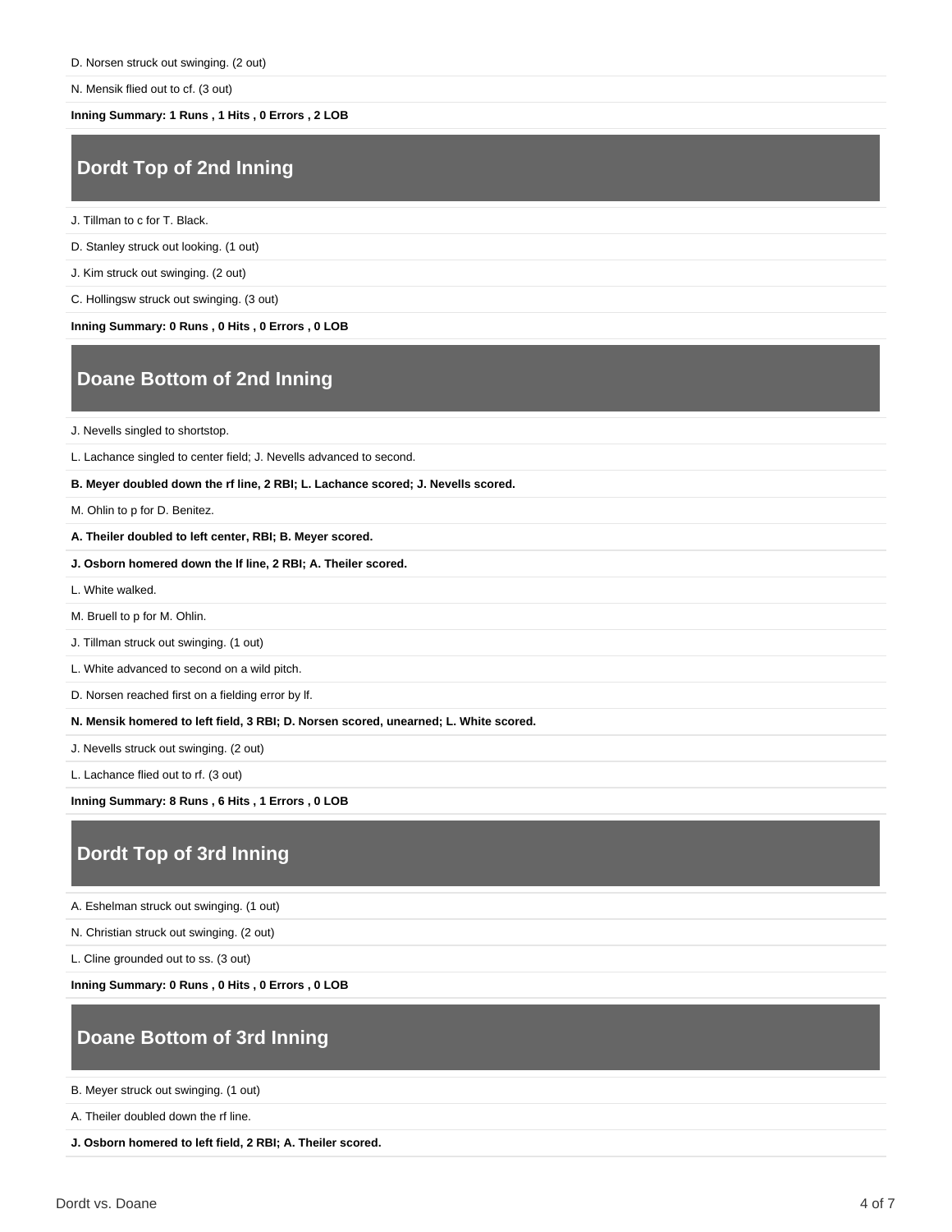N. Mensik flied out to cf. (3 out)

**Inning Summary: 1 Runs , 1 Hits , 0 Errors , 2 LOB**

#### **Dordt Top of 2nd Inning**

J. Tillman to c for T. Black.

D. Stanley struck out looking. (1 out)

J. Kim struck out swinging. (2 out)

C. Hollingsw struck out swinging. (3 out)

**Inning Summary: 0 Runs , 0 Hits , 0 Errors , 0 LOB**

## **Doane Bottom of 2nd Inning**

J. Nevells singled to shortstop.

L. Lachance singled to center field; J. Nevells advanced to second.

**B. Meyer doubled down the rf line, 2 RBI; L. Lachance scored; J. Nevells scored.**

M. Ohlin to p for D. Benitez.

**A. Theiler doubled to left center, RBI; B. Meyer scored.**

**J. Osborn homered down the lf line, 2 RBI; A. Theiler scored.**

L. White walked.

M. Bruell to p for M. Ohlin.

J. Tillman struck out swinging. (1 out)

L. White advanced to second on a wild pitch.

D. Norsen reached first on a fielding error by lf.

**N. Mensik homered to left field, 3 RBI; D. Norsen scored, unearned; L. White scored.**

J. Nevells struck out swinging. (2 out)

L. Lachance flied out to rf. (3 out)

**Inning Summary: 8 Runs , 6 Hits , 1 Errors , 0 LOB**

## **Dordt Top of 3rd Inning**

A. Eshelman struck out swinging. (1 out)

N. Christian struck out swinging. (2 out)

L. Cline grounded out to ss. (3 out)

**Inning Summary: 0 Runs , 0 Hits , 0 Errors , 0 LOB**

## **Doane Bottom of 3rd Inning**

B. Meyer struck out swinging. (1 out)

A. Theiler doubled down the rf line.

**J. Osborn homered to left field, 2 RBI; A. Theiler scored.**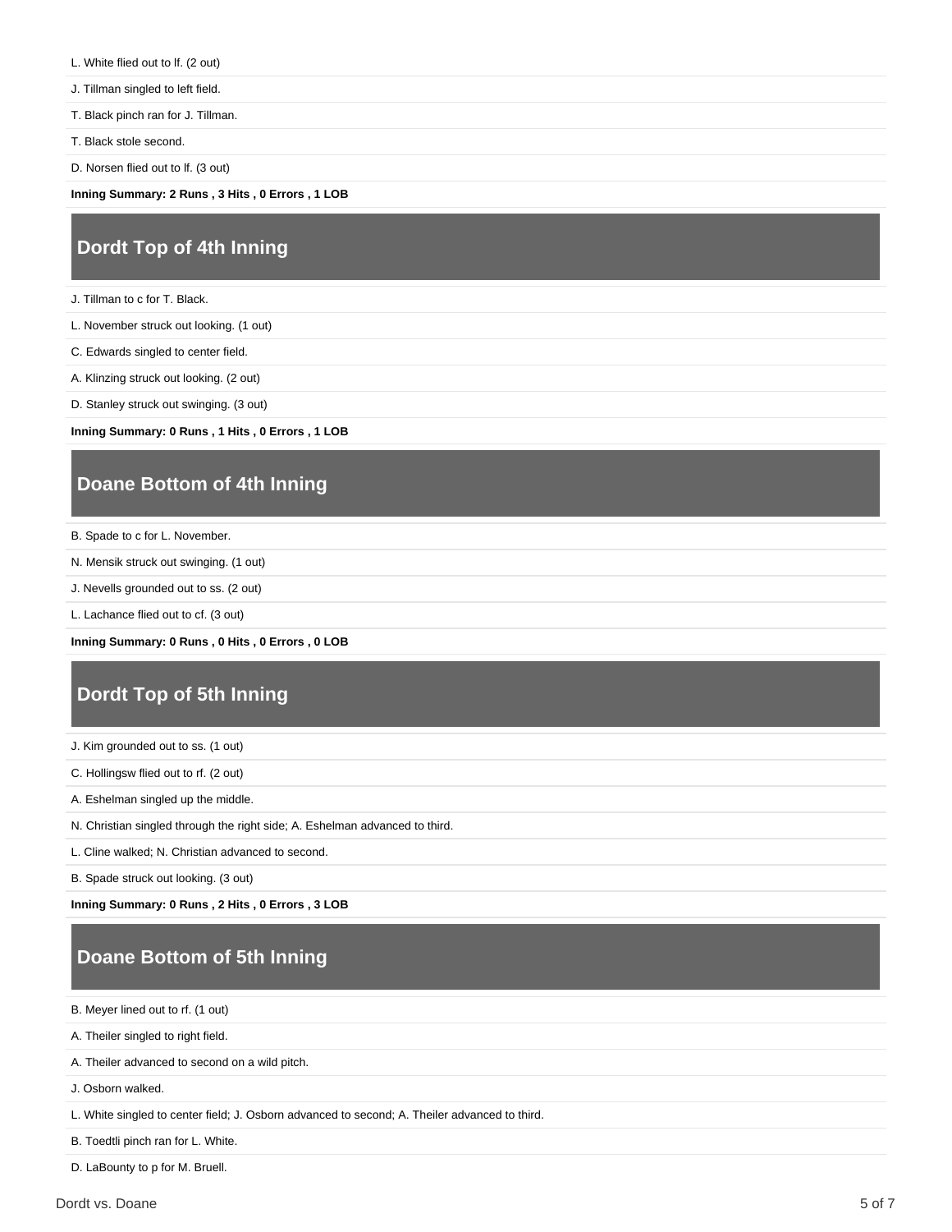- L. White flied out to lf. (2 out)
- J. Tillman singled to left field.
- T. Black pinch ran for J. Tillman.
- T. Black stole second.
- D. Norsen flied out to lf. (3 out)

**Inning Summary: 2 Runs , 3 Hits , 0 Errors , 1 LOB**

#### **Dordt Top of 4th Inning**

J. Tillman to c for T. Black.

L. November struck out looking. (1 out)

C. Edwards singled to center field.

A. Klinzing struck out looking. (2 out)

D. Stanley struck out swinging. (3 out)

**Inning Summary: 0 Runs , 1 Hits , 0 Errors , 1 LOB**

#### **Doane Bottom of 4th Inning**

B. Spade to c for L. November.

N. Mensik struck out swinging. (1 out)

J. Nevells grounded out to ss. (2 out)

L. Lachance flied out to cf. (3 out)

**Inning Summary: 0 Runs , 0 Hits , 0 Errors , 0 LOB**

#### **Dordt Top of 5th Inning**

J. Kim grounded out to ss. (1 out)

C. Hollingsw flied out to rf. (2 out)

A. Eshelman singled up the middle.

N. Christian singled through the right side; A. Eshelman advanced to third.

L. Cline walked; N. Christian advanced to second.

B. Spade struck out looking. (3 out)

**Inning Summary: 0 Runs , 2 Hits , 0 Errors , 3 LOB**

## **Doane Bottom of 5th Inning**

B. Meyer lined out to rf. (1 out)

A. Theiler singled to right field.

A. Theiler advanced to second on a wild pitch.

J. Osborn walked.

L. White singled to center field; J. Osborn advanced to second; A. Theiler advanced to third.

B. Toedtli pinch ran for L. White.

D. LaBounty to p for M. Bruell.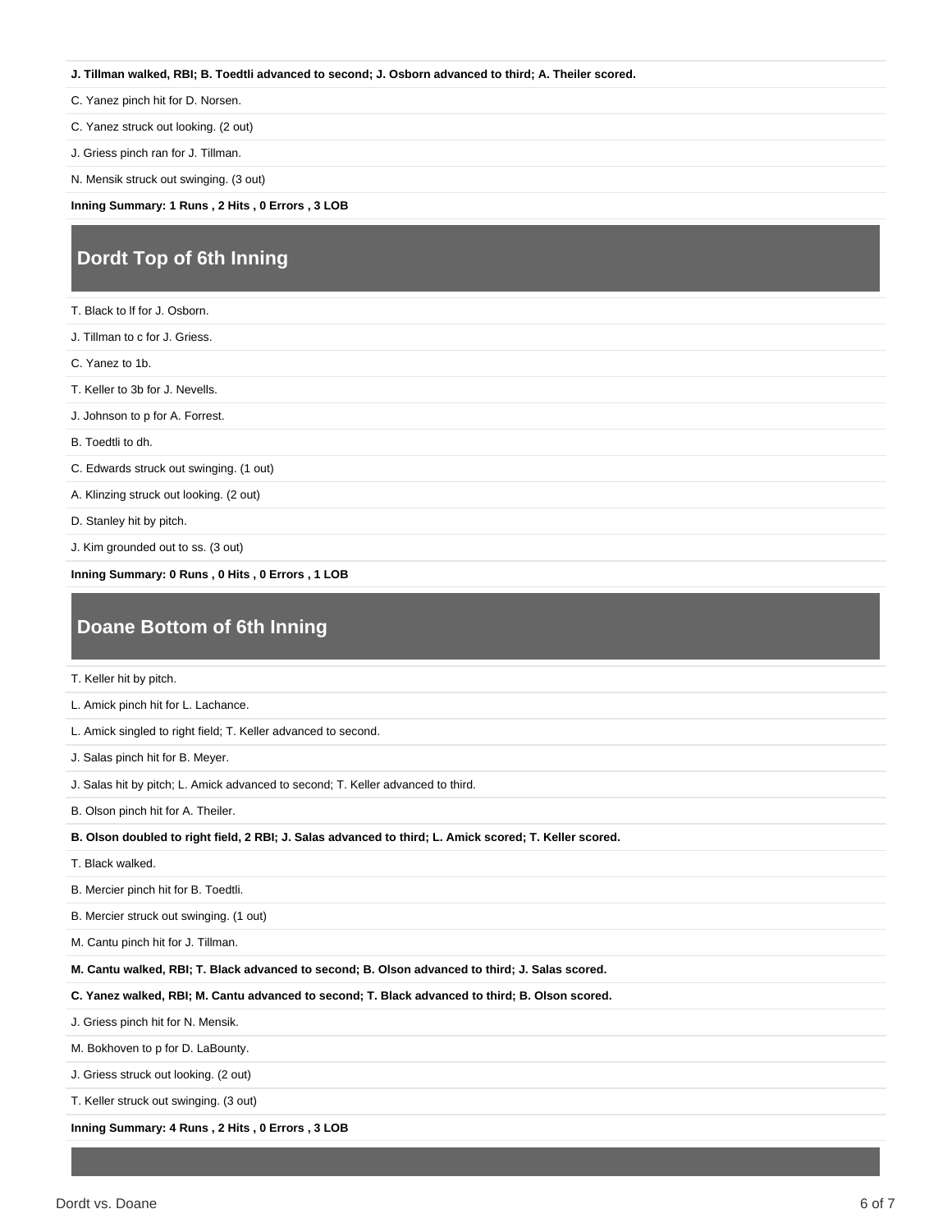#### **J. Tillman walked, RBI; B. Toedtli advanced to second; J. Osborn advanced to third; A. Theiler scored.**

C. Yanez pinch hit for D. Norsen.

C. Yanez struck out looking. (2 out)

J. Griess pinch ran for J. Tillman.

N. Mensik struck out swinging. (3 out)

**Inning Summary: 1 Runs , 2 Hits , 0 Errors , 3 LOB**

#### **Dordt Top of 6th Inning**

| T. Black to If for J. Osborn.           |
|-----------------------------------------|
| J. Tillman to c for J. Griess.          |
| C. Yanez to 1b.                         |
| T. Keller to 3b for J. Nevells.         |
| J. Johnson to p for A. Forrest.         |
| B. Toedtli to dh.                       |
| C. Edwards struck out swinging. (1 out) |
| A. Klinzing struck out looking. (2 out) |
| D. Stanley hit by pitch.                |
|                                         |

J. Kim grounded out to ss. (3 out)

**Inning Summary: 0 Runs , 0 Hits , 0 Errors , 1 LOB**

#### **Doane Bottom of 6th Inning**

T. Keller hit by pitch.

L. Amick pinch hit for L. Lachance.

L. Amick singled to right field; T. Keller advanced to second.

J. Salas pinch hit for B. Meyer.

J. Salas hit by pitch; L. Amick advanced to second; T. Keller advanced to third.

B. Olson pinch hit for A. Theiler.

**B. Olson doubled to right field, 2 RBI; J. Salas advanced to third; L. Amick scored; T. Keller scored.**

T. Black walked.

B. Mercier pinch hit for B. Toedtli.

B. Mercier struck out swinging. (1 out)

M. Cantu pinch hit for J. Tillman.

**M. Cantu walked, RBI; T. Black advanced to second; B. Olson advanced to third; J. Salas scored.**

**C. Yanez walked, RBI; M. Cantu advanced to second; T. Black advanced to third; B. Olson scored.**

J. Griess pinch hit for N. Mensik.

M. Bokhoven to p for D. LaBounty.

J. Griess struck out looking. (2 out)

T. Keller struck out swinging. (3 out)

**Inning Summary: 4 Runs , 2 Hits , 0 Errors , 3 LOB**